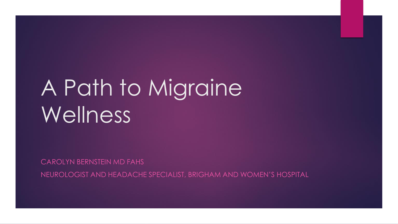## A Path to Migraine Wellness<sup>'</sup>

CAROLYN BERNSTEIN MD FAHS

NEUROLOGIST AND HEADACHE SPECIALIST, BRIGHAM AND WOMEN'S HOSPITAL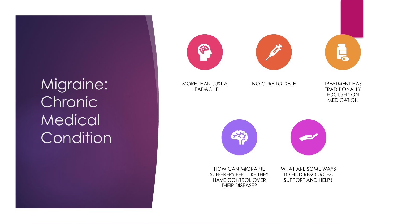Migraine: **Chronic Medical Condition** 

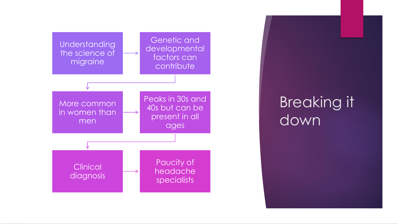

Breaking it down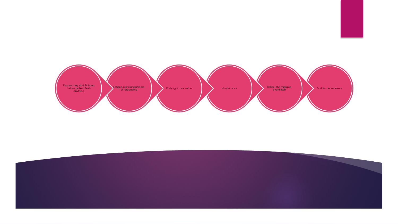

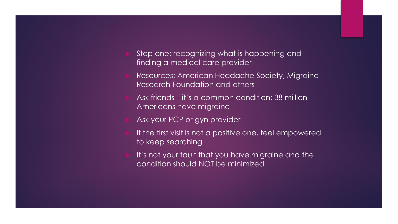- Step one: recognizing what is happening and finding a medical care provider
- Resources: American Headache Society, Migraine Research Foundation and others
- Ask friends—it's a common condition: 38 million Americans have migraine
- Ask your PCP or gyn provider
- If the first visit is not a positive one, feel empowered to keep searching
- It's not your fault that you have migraine and the condition should NOT be minimized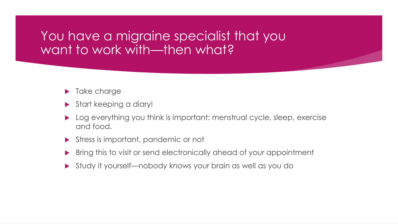#### You have a migraine specialist that you want to work with—then what?

- **Take charge**
- Start keeping a diary!
- Log everything you think is important: menstrual cycle, sleep, exercise and food.
- Stress is important, pandemic or not
- Bring this to visit or send electronically ahead of your appointment
- Study it yourself—nobody knows your brain as well as you do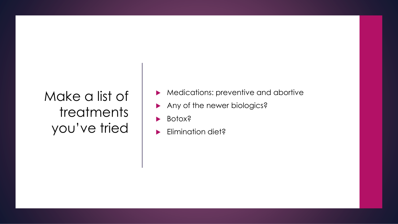#### Make a list of treatments you've tried

- Medications: preventive and abortive
- Any of the newer biologics?
- Botox?
- Elimination diet?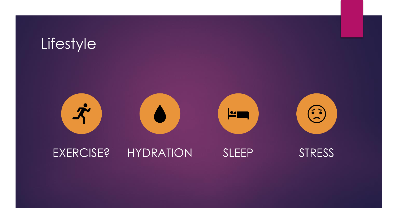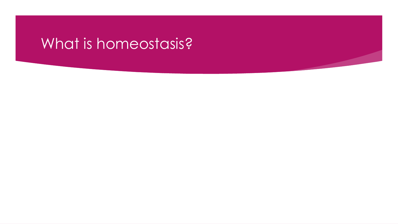## What is homeostasis?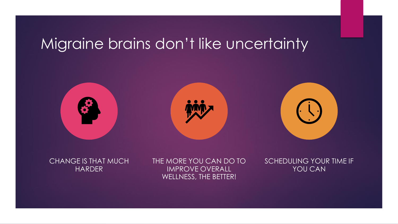## Migraine brains don't like uncertainty



CHANGE IS THAT MUCH HARDER

THE MORE YOU CAN DO TO IMPROVE OVERALL WELLNESS, THE BETTER!

SCHEDULING YOUR TIME IF YOU CAN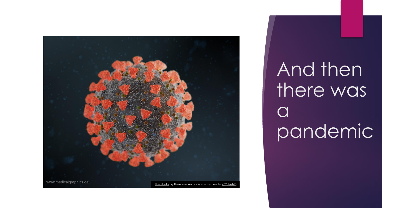

And then there was  $\overline{a}$ pandemic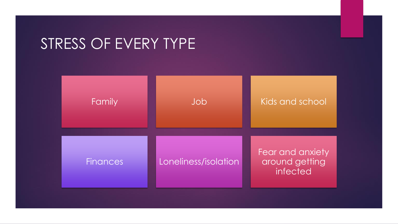### STRESS OF EVERY TYPE

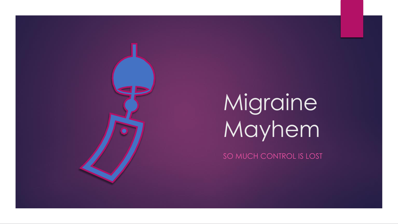

SO MUCH CONTROL IS LOST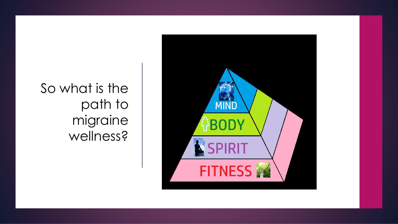

So what is the path to migraine wellness?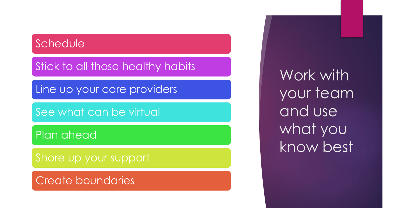#### **Schedule**

Stick to all those healthy habits

Line up your care providers

See what can be virtual

Plan ahead

Shore up your support

Create boundaries

Work with your team and use what you know best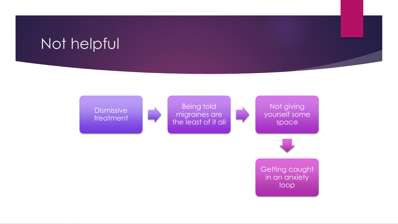### Not helpful

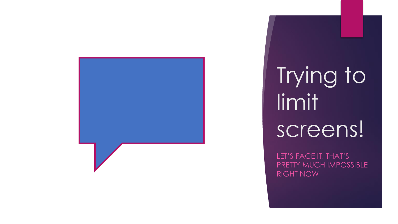

Trying to limit screens!

LET'S FACE IT, THAT'S PRETTY MUCH IMPOSSIBLE RIGHT NOW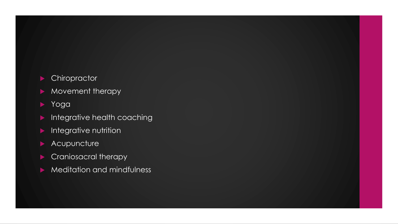#### **Chiropractor**

- Movement therapy
- Yoga
- Integrative health coaching
- **Integrative nutrition**
- **Acupuncture**
- Craniosacral therapy
- Meditation and mindfulness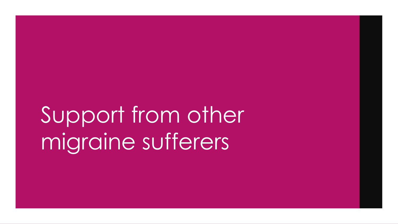# Support from other migraine sufferers